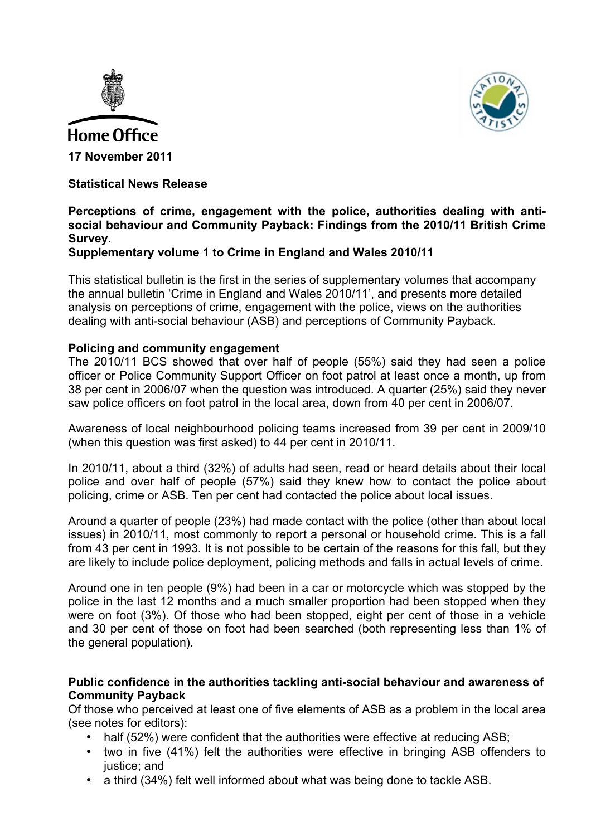



### **Statistical News Release**

# **Perceptions of crime, engagement with the police, authorities dealing with antisocial behaviour and Community Payback: Findings from the 2010/11 British Crime Survey.**

# **Supplementary volume 1 to Crime in England and Wales 2010/11**

This statistical bulletin is the first in the series of supplementary volumes that accompany the annual bulletin 'Crime in England and Wales 2010/11', and presents more detailed analysis on perceptions of crime, engagement with the police, views on the authorities dealing with anti-social behaviour (ASB) and perceptions of Community Payback.

### **Policing and community engagement**

The 2010/11 BCS showed that over half of people (55%) said they had seen a police officer or Police Community Support Officer on foot patrol at least once a month, up from 38 per cent in 2006/07 when the question was introduced. A quarter (25%) said they never saw police officers on foot patrol in the local area, down from 40 per cent in 2006/07.

Awareness of local neighbourhood policing teams increased from 39 per cent in 2009/10 (when this question was first asked) to 44 per cent in 2010/11.

In 2010/11, about a third (32%) of adults had seen, read or heard details about their local police and over half of people (57%) said they knew how to contact the police about policing, crime or ASB. Ten per cent had contacted the police about local issues.

Around a quarter of people (23%) had made contact with the police (other than about local issues) in 2010/11, most commonly to report a personal or household crime. This is a fall from 43 per cent in 1993. It is not possible to be certain of the reasons for this fall, but they are likely to include police deployment, policing methods and falls in actual levels of crime.

Around one in ten people (9%) had been in a car or motorcycle which was stopped by the police in the last 12 months and a much smaller proportion had been stopped when they were on foot (3%). Of those who had been stopped, eight per cent of those in a vehicle and 30 per cent of those on foot had been searched (both representing less than 1% of the general population).

### **Public confidence in the authorities tackling anti-social behaviour and awareness of Community Payback**

Of those who perceived at least one of five elements of ASB as a problem in the local area (see notes for editors):

- half (52%) were confident that the authorities were effective at reducing ASB;
- two in five (41%) felt the authorities were effective in bringing ASB offenders to justice; and
- a third (34%) felt well informed about what was being done to tackle ASB.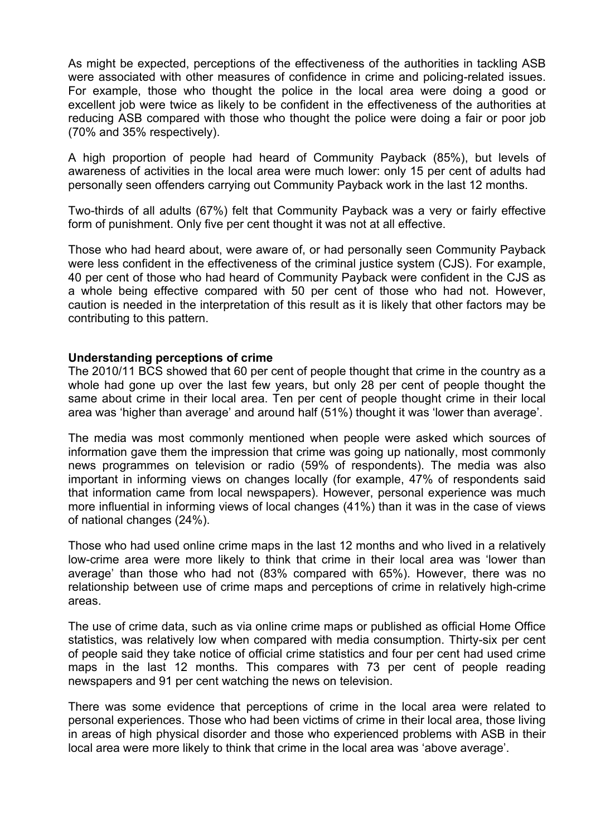As might be expected, perceptions of the effectiveness of the authorities in tackling ASB were associated with other measures of confidence in crime and policing-related issues. For example, those who thought the police in the local area were doing a good or excellent job were twice as likely to be confident in the effectiveness of the authorities at reducing ASB compared with those who thought the police were doing a fair or poor job (70% and 35% respectively).

A high proportion of people had heard of Community Payback (85%), but levels of awareness of activities in the local area were much lower: only 15 per cent of adults had personally seen offenders carrying out Community Payback work in the last 12 months.

Two-thirds of all adults (67%) felt that Community Payback was a very or fairly effective form of punishment. Only five per cent thought it was not at all effective.

Those who had heard about, were aware of, or had personally seen Community Payback were less confident in the effectiveness of the criminal justice system (CJS). For example, 40 per cent of those who had heard of Community Payback were confident in the CJS as a whole being effective compared with 50 per cent of those who had not. However, caution is needed in the interpretation of this result as it is likely that other factors may be contributing to this pattern.

### **Understanding perceptions of crime**

The 2010/11 BCS showed that 60 per cent of people thought that crime in the country as a whole had gone up over the last few years, but only 28 per cent of people thought the same about crime in their local area. Ten per cent of people thought crime in their local area was 'higher than average' and around half (51%) thought it was 'lower than average'.

The media was most commonly mentioned when people were asked which sources of information gave them the impression that crime was going up nationally, most commonly news programmes on television or radio (59% of respondents). The media was also important in informing views on changes locally (for example, 47% of respondents said that information came from local newspapers). However, personal experience was much more influential in informing views of local changes (41%) than it was in the case of views of national changes (24%).

Those who had used online crime maps in the last 12 months and who lived in a relatively low-crime area were more likely to think that crime in their local area was 'lower than average' than those who had not (83% compared with 65%). However, there was no relationship between use of crime maps and perceptions of crime in relatively high-crime areas.

The use of crime data, such as via online crime maps or published as official Home Office statistics, was relatively low when compared with media consumption. Thirty-six per cent of people said they take notice of official crime statistics and four per cent had used crime maps in the last 12 months. This compares with 73 per cent of people reading newspapers and 91 per cent watching the news on television.

There was some evidence that perceptions of crime in the local area were related to personal experiences. Those who had been victims of crime in their local area, those living in areas of high physical disorder and those who experienced problems with ASB in their local area were more likely to think that crime in the local area was 'above average'.